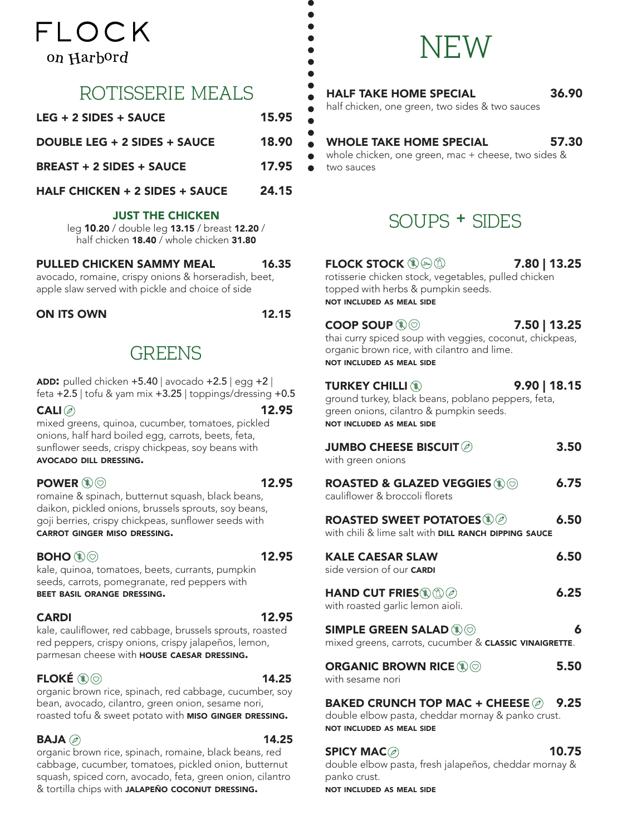## FI OCK on Harbord

## rotisserie meals

| $LEG + 2 SIDES + SAUCE$         | 15.95 |
|---------------------------------|-------|
| DOUBLE LEG + 2 SIDES + SAUCE    | 18.90 |
| <b>BREAST + 2 SIDES + SAUCE</b> | 17.95 |
| HALF CHICKEN + 2 SIDES + SAUCE  | 24.15 |

#### JUST THE CHICKEN

leg 10.20 / double leg 13.15 / breast 12.20 / half chicken 18.40 / whole chicken 31.80

#### PULLED CHICKEN SAMMY MEAL 16.35

avocado, romaine, crispy onions & horseradish, beet, apple slaw served with pickle and choice of side

#### ON ITS OWN 12.15

## **GREENS**

ADD: pulled chicken  $+5.40$  | avocado  $+2.5$  | egg  $+2$  | feta +2.5 | tofu & yam mix +3.25 | toppings/dressing +0.5

 $\mathsf{CALI} \oslash \mathsf{12.95}$ mixed greens, quinoa, cucumber, tomatoes, pickled onions, half hard boiled egg, carrots, beets, feta, sunflower seeds, crispy chickpeas, soy beans with avocado dill dressing.

#### POWER  $(\mathbb{R})$  and the set of  $\sim$  12.95

romaine & spinach, butternut squash, black beans, daikon, pickled onions, brussels sprouts, soy beans, goji berries, crispy chickpeas, sunflower seeds with carrot ginger miso dressing.

#### $BOHO(\mathbb{Q})$  and the contract of  $12.95$

kale, quinoa, tomatoes, beets, currants, pumpkin seeds, carrots, pomegranate, red peppers with beet basil orange dressing.

#### CARDI 12.95

kale, cauliflower, red cabbage, brussels sprouts, roasted red peppers, crispy onions, crispy jalapeños, lemon, parmesan cheese with **HOUSE CAESAR DRESSING.** 

#### FLOKÉ  $\circledR$   $\circledR$

organic brown rice, spinach, red cabbage, cucumber, soy bean, avocado, cilantro, green onion, sesame nori, roasted tofu & sweet potato with MISO GINGER DRESSING.

#### $BAJA \textcircled{\scriptsize{\beta}}$  14.25

organic brown rice, spinach, romaine, black beans, red cabbage, cucumber, tomatoes, pickled onion, butternut squash, spiced corn, avocado, feta, green onion, cilantro & tortilla chips with JALAPEÑO COCONUT DRESSING.

## NFW

#### HALF TAKE HOME SPECIAL 36.90

half chicken, one green, two sides & two sauces

#### WHOLE TAKE HOME SPECIAL 57.30

whole chicken, one green, mac + cheese, two sides & two sauces

## soups + sides

#### FLOCK STOCK  $\mathbb{Q} \otimes \mathbb{Q}$  7.80 | 13.25

rotisserie chicken stock, vegetables, pulled chicken topped with herbs & pumpkin seeds. not included as meal side

#### $\text{CoOP}$  SOUP  $\textcircled{\tiny{\textcircled{\tiny{\textcirc}}}}$  50 | 13.25 thai curry spiced soup with veggies, coconut, chickpeas, organic brown rice, with cilantro and lime. not included as meal side

**TURKEY CHILLI 12 200 | 18.15** 

ground turkey, black beans, poblano peppers, feta, green onions, cilantro & pumpkin seeds. not included as meal side

| JUMBO CHEESE BISCUIT $\oslash$<br>with green onions                                                                             | 3.50 |
|---------------------------------------------------------------------------------------------------------------------------------|------|
| ROASTED & GLAZED VEGGIES $\circledast\circledcirc$<br>cauliflower & broccoli florets                                            | 6.75 |
| ROASTED SWEET POTATOES $\mathbb{Q}$<br>with chili & lime salt with DILL RANCH DIPPING SAUCE                                     | 6.50 |
| <b>KALE CAESAR SLAW</b><br>side version of our <b>CARDI</b>                                                                     | 6.50 |
| $\mathsf{HAND}$ CUT FRIES $\mathbb{Q} \mathbb{O}$<br>with roasted garlic lemon aioli.                                           | 6.25 |
| SIMPLE GREEN SALAD $\textcircled{\tiny\ast}\otimes$<br>mixed greens, carrots, cucumber & <b>CLASSIC VINAIGRETTE</b> .           | 6    |
| ORGANIC BROWN RICE $\mathbb{Q} \oslash$<br>with sesame nori                                                                     | 5.50 |
| BAKED CRUNCH TOP MAC + CHEESE $\oslash$ 9.25<br>double elbow pasta, cheddar mornay & panko crust.<br>NOT INCLUDED AC MEAL CIDE. |      |

not included as meal side

#### $SPICY MAC \textcircled{\scriptsize{\beta}}$  10.75

double elbow pasta, fresh jalapeños, cheddar mornay & panko crust. not included as meal side